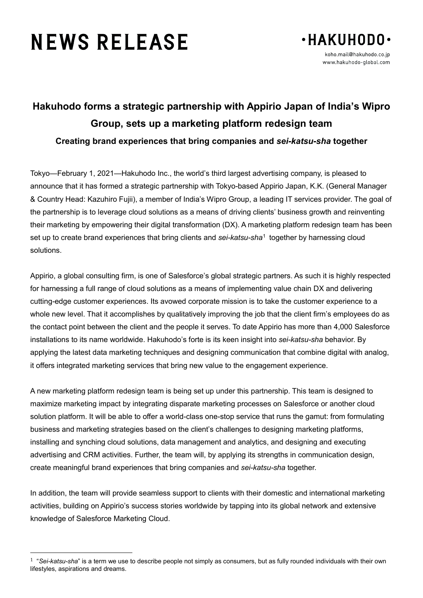## **NEWS RELEASE**



## **Hakuhodo forms a strategic partnership with Appirio Japan of India's Wipro Group, sets up a marketing platform redesign team Creating brand experiences that bring companies and** *sei-katsu-sha* **together**

Tokyo—February 1, 2021—Hakuhodo Inc., the world's third largest advertising company, is pleased to announce that it has formed a strategic partnership with Tokyo-based Appirio Japan, K.K. (General Manager & Country Head: Kazuhiro Fujii), a member of India's Wipro Group, a leading IT services provider. The goal of the partnership is to leverage cloud solutions as a means of driving clients' business growth and reinventing their marketing by empowering their digital transformation (DX). A marketing platform redesign team has been set up to create brand experiences that bring clients and *sei-katsu-sha*[1](#page-0-0) together by harnessing cloud solutions.

Appirio, a global consulting firm, is one of Salesforce's global strategic partners. As such it is highly respected for harnessing a full range of cloud solutions as a means of implementing value chain DX and delivering cutting-edge customer experiences. Its avowed corporate mission is to take the customer experience to a whole new level. That it accomplishes by qualitatively improving the job that the client firm's employees do as the contact point between the client and the people it serves. To date Appirio has more than 4,000 Salesforce installations to its name worldwide. Hakuhodo's forte is its keen insight into *sei-katsu-sha* behavior. By applying the latest data marketing techniques and designing communication that combine digital with analog, it offers integrated marketing services that bring new value to the engagement experience.

A new marketing platform redesign team is being set up under this partnership. This team is designed to maximize marketing impact by integrating disparate marketing processes on Salesforce or another cloud solution platform. It will be able to offer a world-class one-stop service that runs the gamut: from formulating business and marketing strategies based on the client's challenges to designing marketing platforms, installing and synching cloud solutions, data management and analytics, and designing and executing advertising and CRM activities. Further, the team will, by applying its strengths in communication design, create meaningful brand experiences that bring companies and *sei-katsu-sha* together.

In addition, the team will provide seamless support to clients with their domestic and international marketing activities, building on Appirio's success stories worldwide by tapping into its global network and extensive knowledge of Salesforce Marketing Cloud.

<span id="page-0-0"></span> <sup>1</sup> "*Sei-katsu-sha*" is a term we use to describe people not simply as consumers, but as fully rounded individuals with their own lifestyles, aspirations and dreams.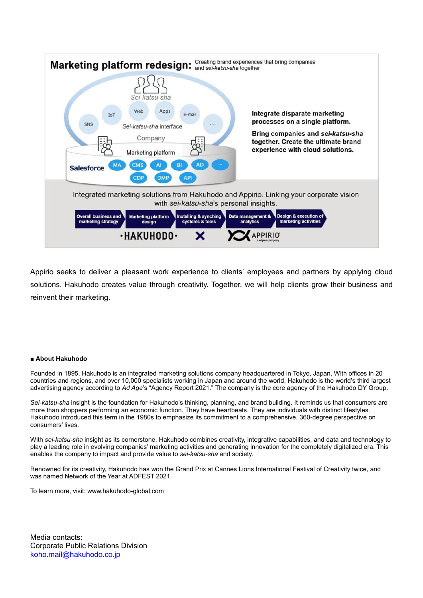

Appirio seeks to deliver a pleasant work experience to clients' employees and partners by applying cloud solutions. Hakuhodo creates value through creativity. Together, we will help clients grow their business and reinvent their marketing.

## ■ **About Hakuhodo**

Founded in 1895, Hakuhodo is an integrated marketing solutions company headquartered in Tokyo, Japan. With offices in 20 countries and regions, and over 10,000 specialists working in Japan and around the world, Hakuhodo is the world's third largest advertising agency according to *Ad Age*'s "Agency Report 2021." The company is the core agency of the Hakuhodo DY Group.

*Sei-katsu-sha* insight is the foundation for Hakuhodo's thinking, planning, and brand building. It reminds us that consumers are more than shoppers performing an economic function. They have heartbeats. They are individuals with distinct lifestyles. Hakuhodo introduced this term in the 1980s to emphasize its commitment to a comprehensive, 360-degree perspective on consumers' lives.

With *sei-katsu-sha* insight as its cornerstone, Hakuhodo combines creativity, integrative capabilities, and data and technology to play a leading role in evolving companies' marketing activities and generating innovation for the completely digitalized era. This enables the company to impact and provide value to *sei-katsu-sha* and society.

Renowned for its creativity, Hakuhodo has won the Grand Prix at Cannes Lions International Festival of Creativity twice, and was named Network of the Year at ADFEST 2021.

To learn more, visit: www.hakuhodo-global.com